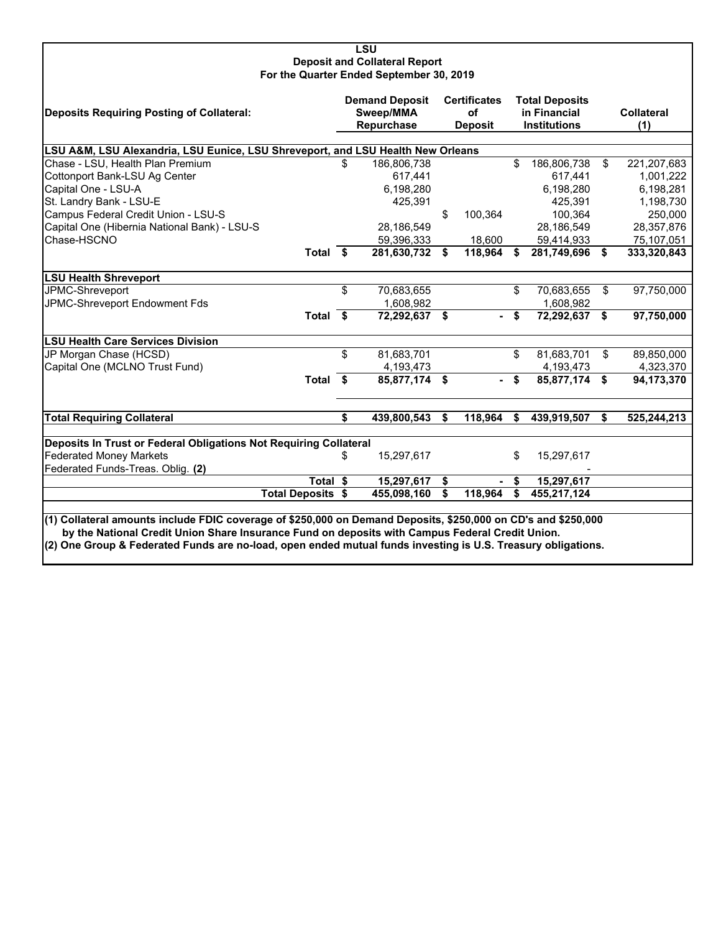## **LSU Deposit and Collateral Report For the Quarter Ended September 30, 2019**

| Deposits Requiring Posting of Collateral:                                                                                                                                                                                                                                                                                        |    | <b>Demand Deposit</b><br>Sweep/MMA<br>Repurchase |    | <b>Certificates</b><br>οf<br><b>Deposit</b> |    | <b>Total Deposits</b><br>in Financial<br><b>Institutions</b> |     | <b>Collateral</b><br>(1) |  |  |
|----------------------------------------------------------------------------------------------------------------------------------------------------------------------------------------------------------------------------------------------------------------------------------------------------------------------------------|----|--------------------------------------------------|----|---------------------------------------------|----|--------------------------------------------------------------|-----|--------------------------|--|--|
|                                                                                                                                                                                                                                                                                                                                  |    |                                                  |    |                                             |    |                                                              |     |                          |  |  |
| LSU A&M, LSU Alexandria, LSU Eunice, LSU Shreveport, and LSU Health New Orleans<br>Chase - LSU, Health Plan Premium<br>186,806,738<br>\$<br>186,806,738<br>\$.<br>\$<br>221,207,683                                                                                                                                              |    |                                                  |    |                                             |    |                                                              |     |                          |  |  |
|                                                                                                                                                                                                                                                                                                                                  |    |                                                  |    |                                             |    |                                                              |     |                          |  |  |
| Cottonport Bank-LSU Ag Center                                                                                                                                                                                                                                                                                                    |    | 617,441                                          |    |                                             |    | 617,441                                                      |     | 1,001,222                |  |  |
| Capital One - LSU-A                                                                                                                                                                                                                                                                                                              |    | 6,198,280                                        |    |                                             |    | 6,198,280                                                    |     | 6,198,281                |  |  |
| St. Landry Bank - LSU-E                                                                                                                                                                                                                                                                                                          |    | 425,391                                          |    |                                             |    | 425,391                                                      |     | 1,198,730                |  |  |
| Campus Federal Credit Union - LSU-S                                                                                                                                                                                                                                                                                              |    |                                                  | \$ | 100,364                                     |    | 100,364                                                      |     | 250,000                  |  |  |
| Capital One (Hibernia National Bank) - LSU-S                                                                                                                                                                                                                                                                                     |    | 28,186,549                                       |    |                                             |    | 28,186,549                                                   |     | 28,357,876               |  |  |
| Chase-HSCNO                                                                                                                                                                                                                                                                                                                      |    | 59,396,333                                       |    | 18,600                                      |    | 59,414,933                                                   |     | 75,107,051               |  |  |
| Total \$                                                                                                                                                                                                                                                                                                                         |    | 281,630,732                                      | \$ | 118,964                                     | S  | 281,749,696                                                  | -\$ | 333,320,843              |  |  |
| <b>LSU Health Shreveport</b>                                                                                                                                                                                                                                                                                                     |    |                                                  |    |                                             |    |                                                              |     |                          |  |  |
| JPMC-Shreveport                                                                                                                                                                                                                                                                                                                  | \$ | 70,683,655                                       |    |                                             | \$ | 70,683,655                                                   | \$  | 97,750,000               |  |  |
| JPMC-Shreveport Endowment Fds                                                                                                                                                                                                                                                                                                    |    | 1,608,982                                        |    |                                             |    | 1,608,982                                                    |     |                          |  |  |
| Total \$                                                                                                                                                                                                                                                                                                                         |    | 72,292,637                                       | \$ | . .                                         | \$ | 72,292,637                                                   | \$  | 97,750,000               |  |  |
| <b>LSU Health Care Services Division</b>                                                                                                                                                                                                                                                                                         |    |                                                  |    |                                             |    |                                                              |     |                          |  |  |
| JP Morgan Chase (HCSD)                                                                                                                                                                                                                                                                                                           | \$ | 81,683,701                                       |    |                                             | \$ | 81,683,701                                                   | \$  | 89,850,000               |  |  |
| Capital One (MCLNO Trust Fund)                                                                                                                                                                                                                                                                                                   |    | 4,193,473                                        |    |                                             |    | 4,193,473                                                    |     | 4,323,370                |  |  |
| Total \$                                                                                                                                                                                                                                                                                                                         |    | 85,877,174 \$                                    |    |                                             | \$ | 85,877,174 \$                                                |     | 94,173,370               |  |  |
| <b>Total Requiring Collateral</b>                                                                                                                                                                                                                                                                                                | \$ | 439,800,543                                      | \$ | 118,964                                     | \$ | 439,919,507                                                  | \$  | 525,244,213              |  |  |
|                                                                                                                                                                                                                                                                                                                                  |    |                                                  |    |                                             |    |                                                              |     |                          |  |  |
| Deposits In Trust or Federal Obligations Not Requiring Collateral                                                                                                                                                                                                                                                                |    |                                                  |    |                                             |    |                                                              |     |                          |  |  |
| <b>Federated Money Markets</b>                                                                                                                                                                                                                                                                                                   | \$ | 15,297,617                                       |    |                                             | \$ | 15,297,617                                                   |     |                          |  |  |
| Federated Funds-Treas. Oblig. (2)                                                                                                                                                                                                                                                                                                |    |                                                  |    |                                             |    |                                                              |     |                          |  |  |
| Total \$                                                                                                                                                                                                                                                                                                                         |    | 15,297,617                                       | \$ |                                             | \$ | 15,297,617                                                   |     |                          |  |  |
| <b>Total Deposits \$</b>                                                                                                                                                                                                                                                                                                         |    | 455,098,160                                      | \$ | 118,964                                     | \$ | 455,217,124                                                  |     |                          |  |  |
|                                                                                                                                                                                                                                                                                                                                  |    |                                                  |    |                                             |    |                                                              |     |                          |  |  |
| (1) Collateral amounts include FDIC coverage of \$250,000 on Demand Deposits, \$250,000 on CD's and \$250,000<br>by the National Credit Union Share Insurance Fund on deposits with Campus Federal Credit Union.<br>(2) One Group & Federated Funds are no-load, open ended mutual funds investing is U.S. Treasury obligations. |    |                                                  |    |                                             |    |                                                              |     |                          |  |  |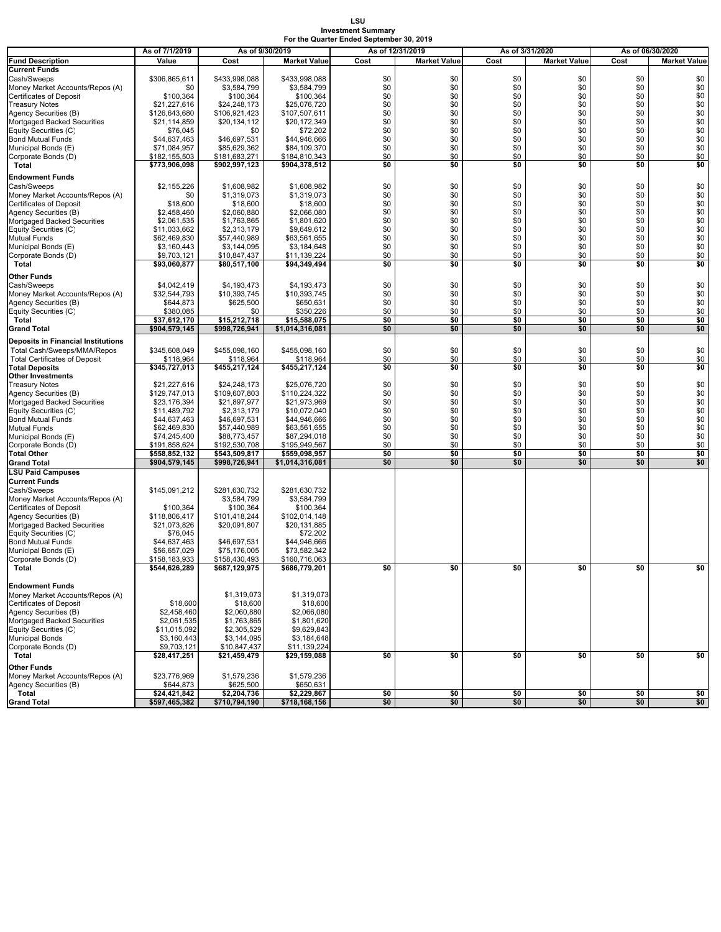## **LSU Investment Summary For the Quarter Ended September 30, 2019**

|                                                      | As of 7/1/2019                 | As of 9/30/2019                |                                  |            | As of 12/31/2019    | As of 3/31/2020 |                     | As of 06/30/2020 |                     |
|------------------------------------------------------|--------------------------------|--------------------------------|----------------------------------|------------|---------------------|-----------------|---------------------|------------------|---------------------|
| <b>Fund Description</b>                              | Value                          | Cost                           | <b>Market Value</b>              | Cost       | <b>Market Value</b> | Cost            | <b>Market Value</b> | Cost             | <b>Market Value</b> |
| <b>Current Funds</b>                                 |                                |                                |                                  |            |                     |                 |                     |                  |                     |
| Cash/Sweeps                                          | \$306,865,611                  | \$433,998,088                  | \$433,998,088                    | \$0        | \$0                 | \$0             | \$0                 | \$0              | \$0                 |
| Money Market Accounts/Repos (A)                      | \$0                            | \$3,584,799                    | \$3,584,799                      | \$0        | \$0                 | \$0             | \$0                 | \$0              | \$0                 |
| Certificates of Deposit                              | \$100,364                      | \$100,364                      | \$100,364                        | \$0        | \$0                 | \$0             | \$0                 | \$0              | \$0                 |
| <b>Treasury Notes</b>                                | \$21,227,616                   | \$24,248,173                   | \$25,076,720                     | \$0        | \$0                 | \$0             | \$0                 | \$0              | \$0                 |
| Agency Securities (B)<br>Mortgaged Backed Securities | \$126,643,680<br>\$21,114,859  | \$106,921,423<br>\$20,134,112  | \$107,507,611                    | \$0<br>\$0 | \$0<br>\$0          | \$0<br>\$0      | \$0<br>\$0          | \$0<br>\$0       | \$0<br>\$0          |
| Equity Securities (C)                                | \$76,045                       | \$0                            | \$20,172,349<br>\$72,202         | \$0        | \$0                 | \$0             | \$0                 | \$0              | \$0                 |
| <b>Bond Mutual Funds</b>                             | \$44,637,463                   | \$46,697,531                   | \$44,946,666                     | \$0        | \$0                 | \$0             | \$0                 | \$0              | \$0                 |
| Municipal Bonds (E)                                  | \$71,084,957                   | \$85,629,362                   | \$84,109,370                     | \$0        | \$0                 | \$0             | \$0                 | \$0              | \$0                 |
| Corporate Bonds (D)                                  | \$182,155,503                  | \$181,683,271                  | \$184,810,343                    | \$0        | \$0                 | \$0             | \$0                 | \$0              | \$0                 |
| Total                                                | \$773,906,098                  | \$902,997,123                  | \$904,378,512                    | \$0        | \$0                 | \$0             | \$0                 | \$0              | \$0                 |
| <b>Endowment Funds</b>                               |                                |                                |                                  |            |                     |                 |                     |                  |                     |
| Cash/Sweeps                                          | \$2,155,226                    | \$1,608,982                    | \$1,608,982                      | \$0        | \$0                 | \$0             | \$0                 | \$0              | \$0                 |
| Money Market Accounts/Repos (A)                      | \$0                            | \$1,319,073                    | \$1,319,073                      | \$0        | \$0                 | \$0             | \$0                 | \$0              | \$0                 |
| Certificates of Deposit                              | \$18,600                       | \$18,600                       | \$18,600                         | \$0        | \$0                 | \$0             | \$0                 | \$0              | \$0                 |
| Agency Securities (B)                                | \$2,458,460                    | \$2,060,880                    | \$2,066,080                      | \$0        | \$0                 | \$0             | \$0                 | \$0              | \$0                 |
| Mortgaged Backed Securities                          | \$2,061,535                    | \$1,763,865                    | \$1,801,620                      | \$0        | \$0                 | \$0             | \$0                 | \$0              | \$0                 |
| Equity Securities (C)                                | \$11,033,662                   | \$2,313,179                    | \$9,649,612                      | \$0        | \$0                 | \$0             | \$0                 | \$0              | \$0                 |
| Mutual Funds<br>Municipal Bonds (E)                  | \$62,469,830<br>\$3,160,443    | \$57,440,989<br>\$3,144,095    | \$63,561,655<br>\$3,184,648      | \$0<br>\$0 | \$0<br>\$0          | \$0<br>\$0      | \$0<br>\$0          | \$0<br>\$0       | \$0<br>\$0          |
| Corporate Bonds (D)                                  | \$9,703,121                    | \$10,847,437                   | \$11,139,224                     | \$0        | \$0                 | \$0             | \$0                 | \$0              | \$0                 |
| Total                                                | \$93,060,877                   | \$80,517,100                   | \$94,349,494                     | \$0        | \$0                 | \$0             | \$0                 | \$0              | \$0                 |
| Other Funds                                          |                                |                                |                                  |            |                     |                 |                     |                  |                     |
| Cash/Sweeps                                          | \$4,042,419                    | \$4,193,473                    | \$4,193,473                      | \$0        | \$0                 | \$0             | \$0                 | \$0              | \$0                 |
| Money Market Accounts/Repos (A)                      | \$32,544,793                   | \$10,393,745                   | \$10,393,745                     | \$0        | \$0                 | \$0             | \$0                 | \$0              | \$0                 |
| Agency Securities (B)                                | \$644,873                      | \$625,500                      | \$650,631                        | \$0        | \$0                 | \$0             | \$0                 | \$0              | \$0                 |
| Equity Securities (C)                                | \$380.085                      | \$0                            | \$350,226                        | \$0        | \$0                 | \$0             | \$0                 | \$0              | \$0                 |
| Total                                                | \$37.612.170                   | \$15,212,718                   | \$15,588,075                     | \$0        | \$0                 | \$0             | \$0                 | \$0              | \$0                 |
| <b>Grand Total</b>                                   | \$904,579,145                  | \$998,726,941                  | \$1,014,316,081                  | \$0        | \$0                 | \$0             | \$0                 | \$0              | \$0                 |
| <b>Deposits in Financial Institutions</b>            |                                |                                |                                  |            |                     |                 |                     |                  |                     |
| Total Cash/Sweeps/MMA/Repos                          | \$345,608,049                  | \$455.098.160                  | \$455,098,160                    | \$0        | \$0                 | \$0             | \$0                 | \$0              | \$0                 |
| <b>Total Certificates of Deposit</b>                 | \$118,964                      | \$118,964                      | \$118,964                        | \$0        | \$0                 | \$0             | \$0                 | \$0              | \$0                 |
| <b>Total Deposits</b><br><b>Other Investments</b>    | \$345,727,013                  | \$455,217,124                  | \$455,217,124                    | \$0        | \$0                 | \$0             | \$0                 | \$0              | \$0                 |
| <b>Treasury Notes</b>                                | \$21,227,616                   | \$24,248,173                   | \$25,076,720                     | \$0        | \$0                 | \$0             | \$0                 | \$0              | \$0                 |
| Agency Securities (B)                                | \$129,747,013                  | \$109,607,803                  | \$110,224,322                    | \$0        | \$0                 | \$0             | \$0                 | \$0              | \$0                 |
| Mortgaged Backed Securities                          | \$23,176,394                   | \$21,897,977                   | \$21,973,969                     | \$0        | \$0                 | \$0             | \$0                 | \$0              | \$0                 |
| Equity Securities (C)                                | \$11,489,792                   | \$2,313,179                    | \$10,072,040                     | \$0        | \$0                 | \$0             | \$0                 | \$0              | \$0                 |
| <b>Bond Mutual Funds</b>                             | \$44,637,463                   | \$46,697,531                   | \$44,946,666                     | \$0        | \$0                 | \$0             | \$0                 | \$0              | \$0                 |
| Mutual Funds                                         | \$62,469,830                   | \$57,440,989                   | \$63,561,655                     | \$0        | \$0                 | \$0             | \$0                 | \$0              | \$0                 |
| Municipal Bonds (E)                                  | \$74,245,400                   | \$88,773,457                   | \$87,294,018                     | \$0        | \$0                 | \$0             | \$0                 | \$0              | \$0                 |
| Corporate Bonds (D)                                  | \$191,858,624                  | \$192,530,708                  | \$195,949,567                    | \$0        | \$0                 | \$0             | \$0                 | \$0              | \$0                 |
| <b>Total Other</b><br>Grand Total                    | \$558,852,132<br>\$904,579,145 | \$543,509,817<br>\$998,726,941 | \$559,098,957<br>\$1,014,316,081 | \$0<br>\$0 | \$0<br>\$0          | \$0<br>\$0      | \$0<br>\$0          | \$0<br>\$0       | \$0<br>\$0          |
| <b>LSU Paid Campuses</b>                             |                                |                                |                                  |            |                     |                 |                     |                  |                     |
| <b>Current Funds</b>                                 |                                |                                |                                  |            |                     |                 |                     |                  |                     |
| Cash/Sweeps                                          | \$145,091,212                  | \$281,630,732                  | \$281,630,732                    |            |                     |                 |                     |                  |                     |
| Money Market Accounts/Repos (A)                      |                                | \$3,584,799                    | \$3,584,799                      |            |                     |                 |                     |                  |                     |
| Certificates of Deposit                              | \$100,364                      | \$100,364                      | \$100,364                        |            |                     |                 |                     |                  |                     |
| Agency Securities (B)                                | \$118,806,417                  | \$101,418,244                  | \$102,014,148                    |            |                     |                 |                     |                  |                     |
| Mortgaged Backed Securities                          | \$21,073,826                   | \$20,091,807                   | \$20,131,885                     |            |                     |                 |                     |                  |                     |
| Equity Securities (C)<br><b>Bond Mutual Funds</b>    | \$76,045<br>\$44,637,463       | \$46,697,531                   | \$72,202<br>\$44,946,666         |            |                     |                 |                     |                  |                     |
| Municipal Bonds (E)                                  | \$56,657,029                   | \$75,176,005                   | \$73,582,342                     |            |                     |                 |                     |                  |                     |
| Corporate Bonds (D)                                  | \$158,183,933                  | \$158,430,493                  | \$160,716,063                    |            |                     |                 |                     |                  |                     |
| Total                                                | \$544,626,289                  | \$687,129,975                  | \$686,779,201                    | \$0        | \$0                 | \$0             | \$0                 | \$0              | \$0                 |
|                                                      |                                |                                |                                  |            |                     |                 |                     |                  |                     |
| <b>Endowment Funds</b>                               |                                |                                |                                  |            |                     |                 |                     |                  |                     |
| Money Market Accounts/Repos (A)                      |                                | \$1,319,073                    | \$1,319,073                      |            |                     |                 |                     |                  |                     |
| Certificates of Deposit                              | \$18,600                       | \$18,600                       | \$18,600                         |            |                     |                 |                     |                  |                     |
| Agency Securities (B)<br>Mortgaged Backed Securities | \$2,458,460<br>\$2,061,535     | \$2,060,880<br>\$1,763,865     | \$2,066,080<br>\$1,801,620       |            |                     |                 |                     |                  |                     |
| Equity Securities (C)                                | \$11,015,092                   | \$2,305,529                    | \$9,629,843                      |            |                     |                 |                     |                  |                     |
| <b>Municipal Bonds</b>                               | \$3,160,443                    | \$3,144,095                    | \$3,184,648                      |            |                     |                 |                     |                  |                     |
| Corporate Bonds (D)                                  | \$9,703,121                    | \$10,847,437                   | \$11,139,224                     |            |                     |                 |                     |                  |                     |
| Total                                                | \$28,417,251                   | \$21,459,479                   | \$29,159,088                     | \$0        | \$0                 | \$0             | \$0                 | \$0              | \$0                 |
| <b>Other Funds</b>                                   |                                |                                |                                  |            |                     |                 |                     |                  |                     |
| Money Market Accounts/Repos (A)                      | \$23,776,969                   | \$1,579,236                    | \$1,579,236                      |            |                     |                 |                     |                  |                     |
| Agency Securities (B)                                | \$644,873                      | \$625,500                      | \$650,631                        |            |                     |                 |                     |                  |                     |
| Total                                                | \$24,421,842                   | \$2,204,736                    | \$2,229,867                      | \$0        | \$0                 | \$0             | \$0                 | \$0              | \$0                 |
| <b>Grand Total</b>                                   | \$597,465,382                  | \$710,794,190                  | \$718,168,156                    | \$0        | \$0                 | \$0             | \$0                 | \$0              | \$0                 |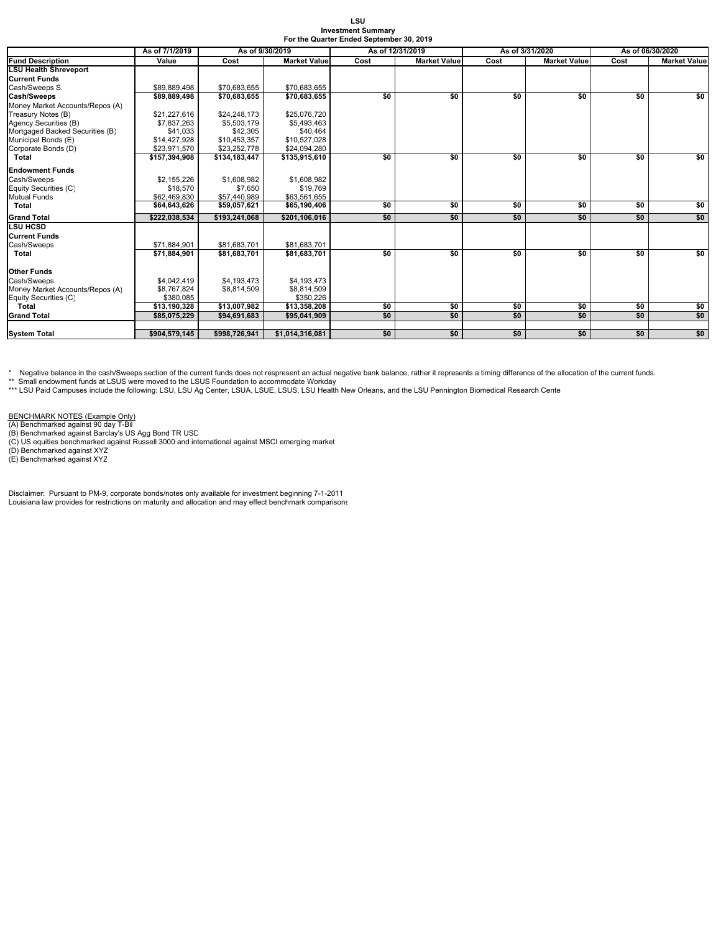| LSU.                                     |  |
|------------------------------------------|--|
| <b>Investment Summarv</b>                |  |
| For the Quarter Ended September 30, 2019 |  |

|                                 | As of 7/1/2019 | As of 9/30/2019 |                     |      | As of 12/31/2019    |      | As of 3/31/2020     | As of 06/30/2020 |                     |
|---------------------------------|----------------|-----------------|---------------------|------|---------------------|------|---------------------|------------------|---------------------|
| <b>Fund Description</b>         | Value          | Cost            | <b>Market Value</b> | Cost | <b>Market Value</b> | Cost | <b>Market Value</b> | Cost             | <b>Market Value</b> |
| <b>LSU Health Shreveport</b>    |                |                 |                     |      |                     |      |                     |                  |                     |
| <b>Current Funds</b>            |                |                 |                     |      |                     |      |                     |                  |                     |
| Cash/Sweeps S.                  | \$89.889.498   | \$70.683.655    | \$70.683.655        |      |                     |      |                     |                  |                     |
| Cash/Sweeps                     | \$89,889,498   | \$70,683,655    | \$70,683,655        | \$0  | \$0                 | \$0  | \$0                 | \$0              | \$0                 |
| Money Market Accounts/Repos (A) |                |                 |                     |      |                     |      |                     |                  |                     |
| Treasury Notes (B)              | \$21,227,616   | \$24,248,173    | \$25,076,720        |      |                     |      |                     |                  |                     |
| Agency Securities (B)           | \$7,837,263    | \$5,503,179     | \$5,493,463         |      |                     |      |                     |                  |                     |
| Mortgaged Backed Securities (B) | \$41,033       | \$42,305        | \$40,464            |      |                     |      |                     |                  |                     |
| Municipal Bonds (E)             | \$14,427,928   | \$10,453,357    | \$10,527,028        |      |                     |      |                     |                  |                     |
| Corporate Bonds (D)             | \$23,971,570   | \$23,252,778    | \$24,094,280        |      |                     |      |                     |                  |                     |
| <b>Total</b>                    | \$157.394.908  | \$134.183.447   | \$135,915,610       | \$0  | \$0                 | \$0  | \$0                 | \$0              | \$0                 |
| <b>Endowment Funds</b>          |                |                 |                     |      |                     |      |                     |                  |                     |
| Cash/Sweeps                     | \$2.155.226    | \$1,608,982     | \$1,608,982         |      |                     |      |                     |                  |                     |
| Equity Securities (C)           | \$18,570       | \$7,650         | \$19,769            |      |                     |      |                     |                  |                     |
| <b>Mutual Funds</b>             | \$62,469,830   | \$57,440,989    | \$63,561,655        |      |                     |      |                     |                  |                     |
| Total                           | \$64,643,626   | \$59,057,621    | \$65,190,406        | \$0  | \$0                 | \$0  | \$0                 | \$0              | \$0                 |
| <b>Grand Total</b>              | \$222.038.534  | \$193.241.068   | \$201.106.016       | \$0  | \$0                 | \$0  | \$0                 | \$0              | \$0                 |
| <b>LSU HCSD</b>                 |                |                 |                     |      |                     |      |                     |                  |                     |
| <b>Current Funds</b>            |                |                 |                     |      |                     |      |                     |                  |                     |
| Cash/Sweeps                     | \$71.884.901   | \$81.683.701    | \$81.683.701        |      |                     |      |                     |                  |                     |
| Total                           | \$71,884,901   | \$81,683,701    | \$81,683,701        | \$0  | \$0                 | \$0  | \$0                 | \$0              | \$0                 |
|                                 |                |                 |                     |      |                     |      |                     |                  |                     |
| <b>Other Funds</b>              |                |                 |                     |      |                     |      |                     |                  |                     |
| Cash/Sweeps                     | \$4,042,419    | \$4,193,473     | \$4,193,473         |      |                     |      |                     |                  |                     |
| Money Market Accounts/Repos (A) | \$8.767.824    | \$8,814,509     | \$8,814,509         |      |                     |      |                     |                  |                     |
| Equity Securities (C)           | \$380.085      |                 | \$350.226           |      |                     |      |                     |                  |                     |
| Total                           | \$13,190,328   | \$13,007,982    | \$13,358,208        | \$0  | \$0                 | \$0  | \$0                 | \$0              | \$0                 |
| <b>Grand Total</b>              | \$85,075,229   | \$94,691,683    | \$95,041,909        | \$0  | \$0                 | \$0  | \$0                 | \$0              | \$0                 |
|                                 |                |                 |                     |      |                     |      |                     |                  | \$0                 |
| <b>System Total</b>             | \$904,579,145  | \$998.726.941   | \$1.014.316.081     | \$0  | \$0                 | \$0  | \$0                 | \$0              |                     |

\* Negative balance in the cash/Sweeps section of the current funds does not respresent an actual negative bank balance, rather it represents a timing difference of the allocation of the current funds.

\*\* Small endowment funds at LSUS were moved to the LSUS Foundation to accommodate Workday<br>\*\*\* LSU Paid Campuses include the following: LSU, LSU Ag Center, LSUA, LSUE, LSUS, LSU Health New Orleans, and the LSU Pennington Bi

BENCHMARK NOTES (Example Only)<br>(A) Benchmarked against 90 day T-Bil<br>(B) Benchmarked against Barclay's US Agg Bond TR USD<br>(C) US equities benchmarked against Russell 3000 and international against MSCI emerging market<br>(D) B

Disclaimer: Pursuant to PM-9, corporate bonds/notes only available for investment beginning 7-1-2011 Louisiana law provides for restrictions on maturity and allocation and may effect benchmark comparisons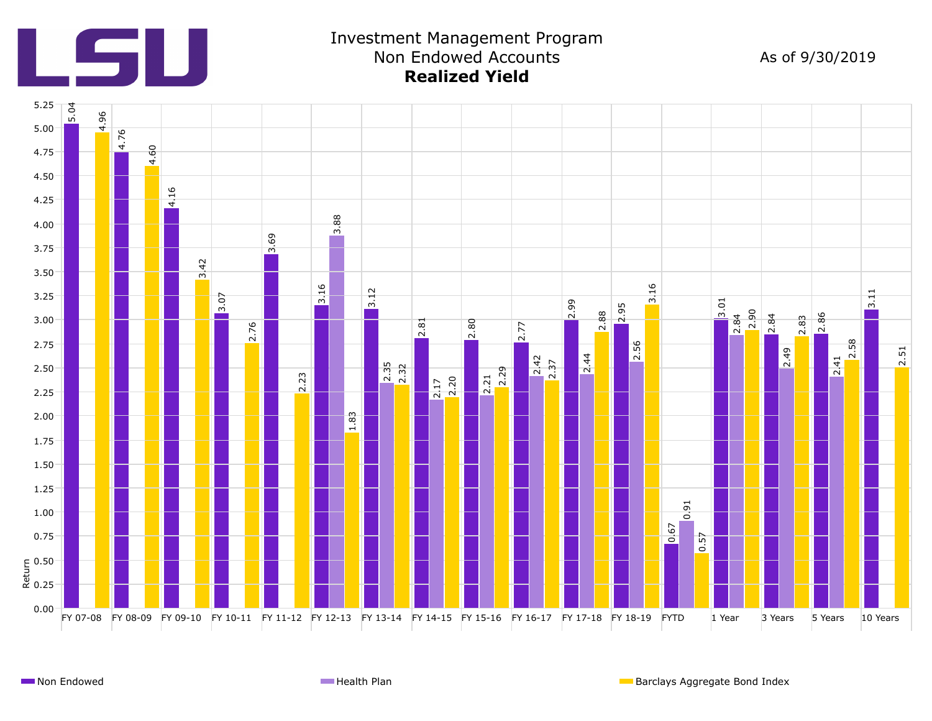

Investment Management Program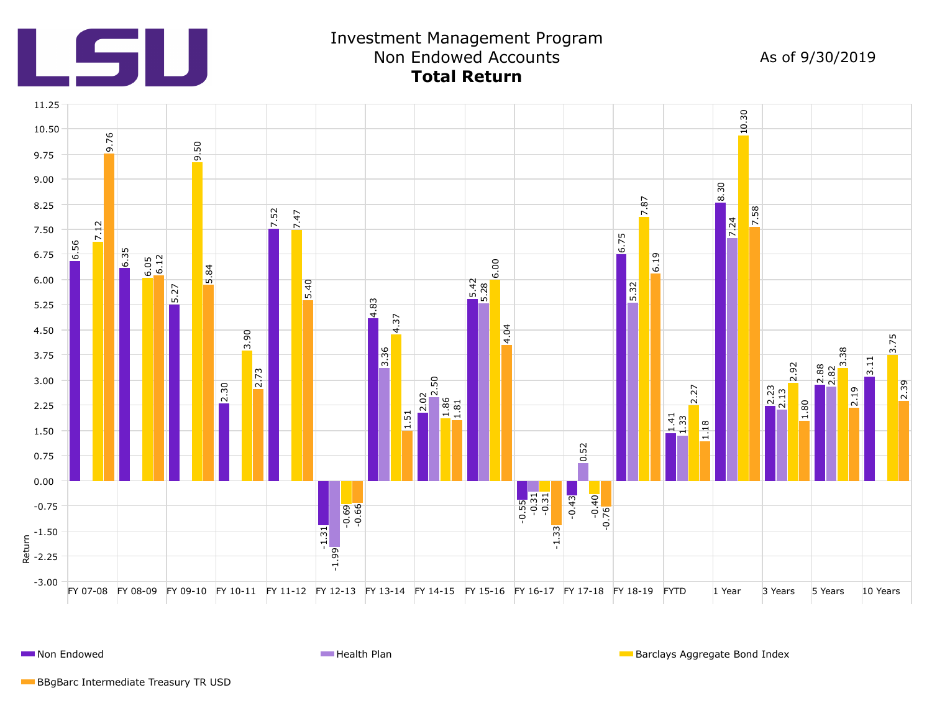

**Non Endowed Health Plan** Barclays Aggregate Bond Index **Health Plan** Barclays Aggregate Bond Index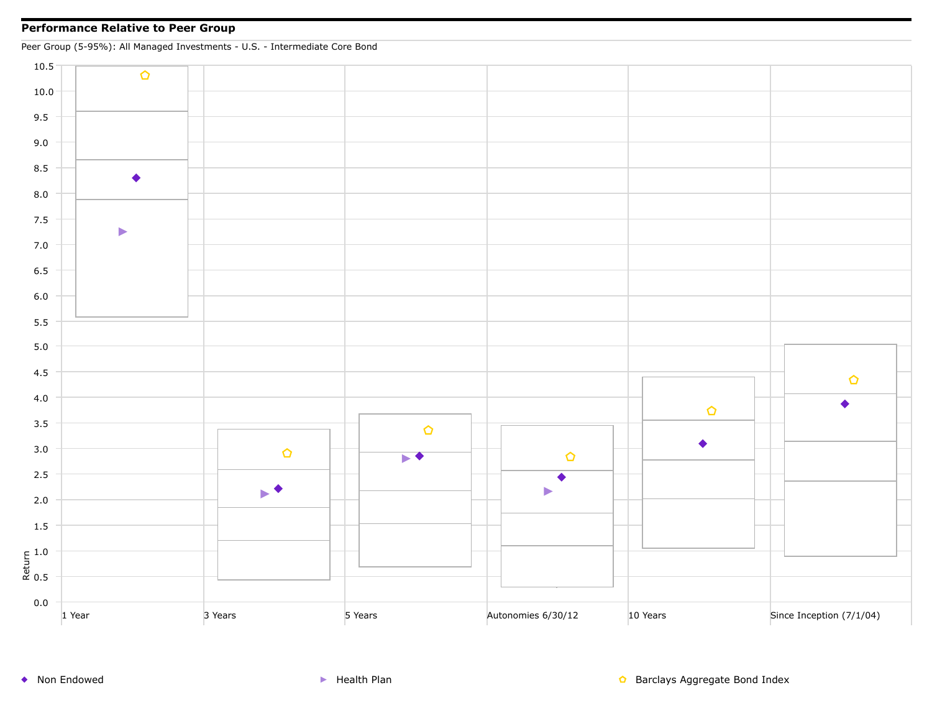## **Performance Relative to Peer Group**

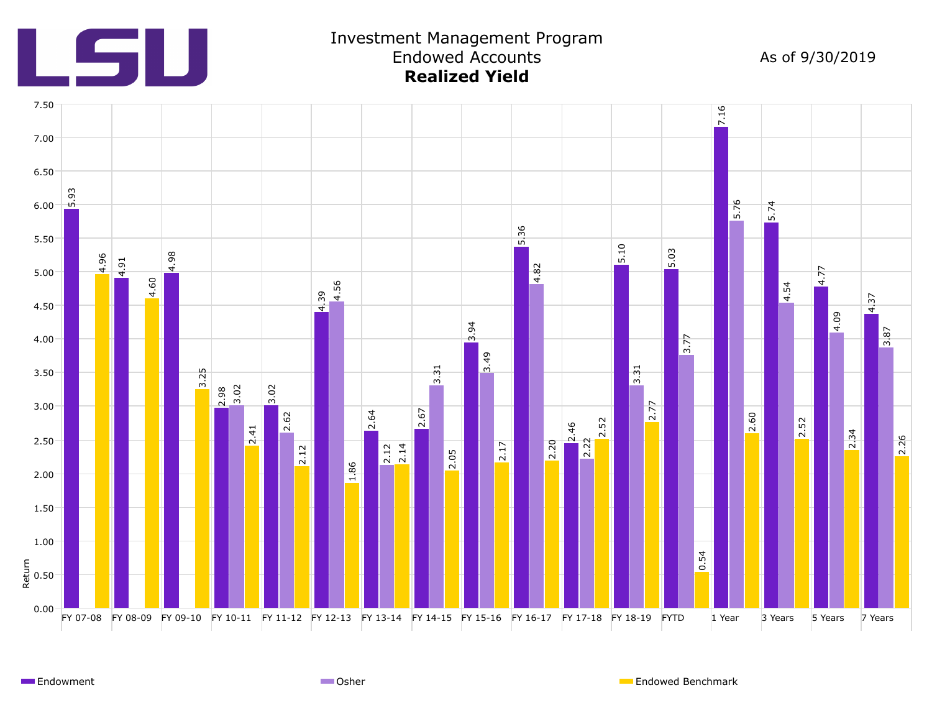